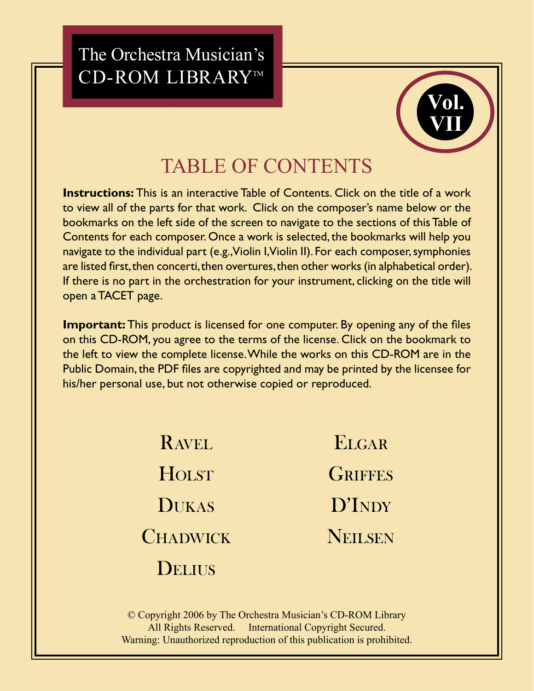# The Orchestra Musician's CD-ROM LIBRARY™



# **TABLE OF CONTENTS**

**Instructions:** This is an interactive Table of Contents. Click on the title of a work to view all of the parts for that work. Click on the composer's name below or the bookmarks on the left side of the screen to navigate to the sections of this Table of Contents for each composer. Once a work is selected, the bookmarks will help you navigate to the individual part (e.g., Violin I, Violin II). For each composer, symphonies are listed first, then concerti, then overtures, then other works (in alphabetical order). If there is no part in the orchestration for your instrument, clicking on the title will open a TACET page.

**Important:** This product is licensed for one computer. By opening any of the files on this CD-ROM, you agree to the terms of the license. Click on the bookmark to the left to view the complete license. While the works on this CD-ROM are in the Public Domain, the PDF files are copyrighted and may be printed by the licensee for his/her personal use, but not otherwise copied or reproduced.

| <b>RAVEL</b>    | ELGAR          |
|-----------------|----------------|
| HOLST           | <b>GRIFFES</b> |
| <b>DUKAS</b>    | D'INDY         |
| <b>CHADWICK</b> | NEILSEN        |
| DELIUS          |                |

© Copyright 2006 by The Orchestra Musician's CD-ROM Library All Rights Reserved. International Copyright Secured. Warning: Unauthorized reproduction of this publication is prohibited.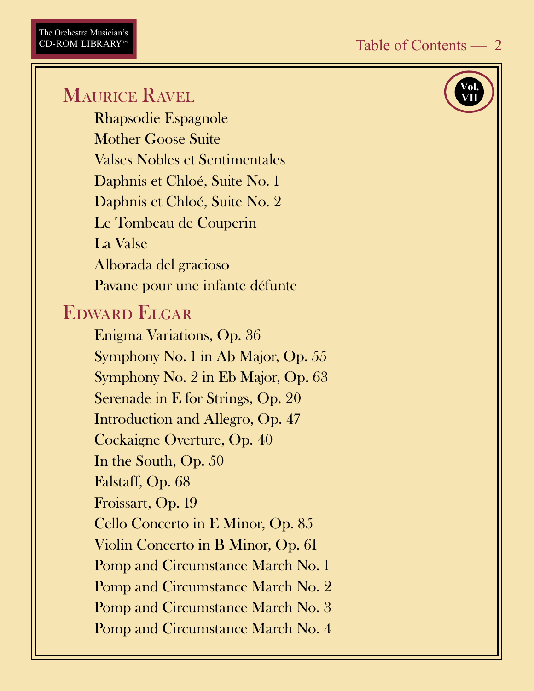# MAURICE RAVEL

Rhapsodie Espagnole **Mother Goose Suite** Valses Nobles et Sentimentales Daphnis et Chloé, Suite No. 1 Daphnis et Chloé, Suite No. 2 Le Tombeau de Couperin La Valse Alborada del gracioso Pavane pour une infante défunte

#### EDWARD ELGAR

Enigma Variations, Op. 36 Symphony No. 1 in Ab Major, Op. 55 Symphony No. 2 in Eb Major, Op. 63 Serenade in E for Strings, Op. 20 Introduction and Allegro, Op. 47 Cockaigne Overture, Op. 40 In the South, Op. 50 Falstaff, Op. 68 Froissart, Op. 19 Cello Concerto in E Minor, Op. 85 Violin Concerto in B Minor, Op. 61 **Pomp and Circumstance March No. 1** Pomp and Circumstance March No. 2 **Pomp and Circumstance March No. 3** Pomp and Circumstance March No. 4

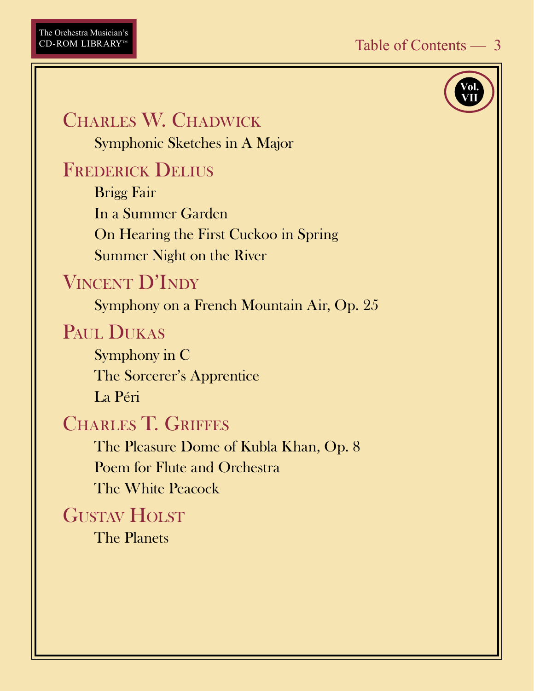#### CHARLES W. CHADWICK Symphonic Sketches in A Major

# **FREDERICK DELIUS**

**Brigg Fair** In a Summer Garden On Hearing the First Cuckoo in Spring **Summer Night on the River** 

# **VINCENT D'INDY**

Symphony on a French Mountain Air, Op. 25

#### PAUL DUKAS

Symphony in C The Sorcerer's Apprentice La Péri

#### **CHARLES T. GRIFFES**

The Pleasure Dome of Kubla Khan, Op. 8 Poem for Flute and Orchestra The White Peacock

#### **GUSTAV HOLST**

The Planets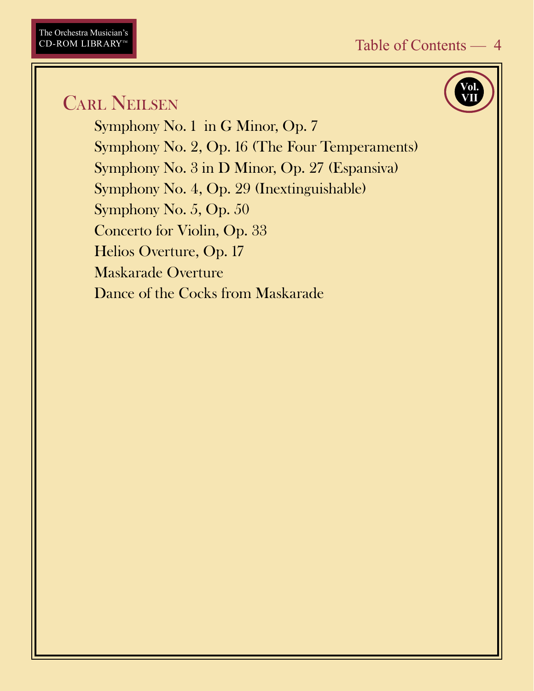## **CARL NEILSEN**

Symphony No. 1 in G Minor, Op. 7 Symphony No. 2, Op. 16 (The Four Temperaments) Symphony No. 3 in D Minor, Op. 27 (Espansiva) Symphony No. 4, Op. 29 (Inextinguishable) Symphony No. 5, Op. 50 Concerto for Violin, Op. 33 Helios Overture, Op. 17 **Maskarade Overture** Dance of the Cocks from Maskarade